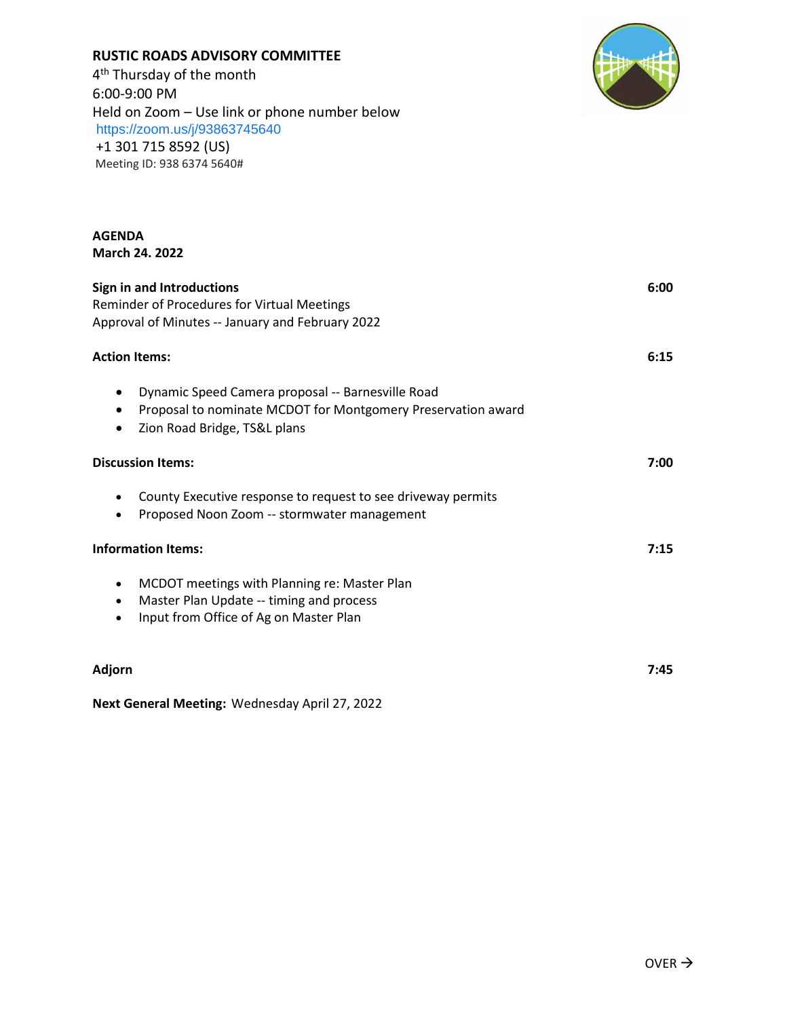## **RUSTIC ROADS ADVISORY COMMITTEE**

**AGENDA** 

4<sup>th</sup> Thursday of the month 6:00-9:00 PM Held on Zoom – Use link or phone number below <https://zoom.us/j/93863745640> +1 301 715 8592 (US) Meeting ID: 938 6374 5640#



| <b>March 24. 2022</b>                                                                                                                                                                    |      |
|------------------------------------------------------------------------------------------------------------------------------------------------------------------------------------------|------|
| <b>Sign in and Introductions</b><br>Reminder of Procedures for Virtual Meetings<br>Approval of Minutes -- January and February 2022                                                      | 6:00 |
| <b>Action Items:</b>                                                                                                                                                                     | 6:15 |
| Dynamic Speed Camera proposal -- Barnesville Road<br>$\bullet$<br>Proposal to nominate MCDOT for Montgomery Preservation award<br>$\bullet$<br>Zion Road Bridge, TS&L plans<br>$\bullet$ |      |
| <b>Discussion Items:</b>                                                                                                                                                                 | 7:00 |
| County Executive response to request to see driveway permits<br>Proposed Noon Zoom -- stormwater management                                                                              |      |
| <b>Information Items:</b>                                                                                                                                                                | 7:15 |
| MCDOT meetings with Planning re: Master Plan<br>٠<br>Master Plan Update -- timing and process<br>٠<br>Input from Office of Ag on Master Plan                                             |      |
| Adjorn                                                                                                                                                                                   | 7:45 |

**Next General Meeting:** Wednesday April 27, 2022